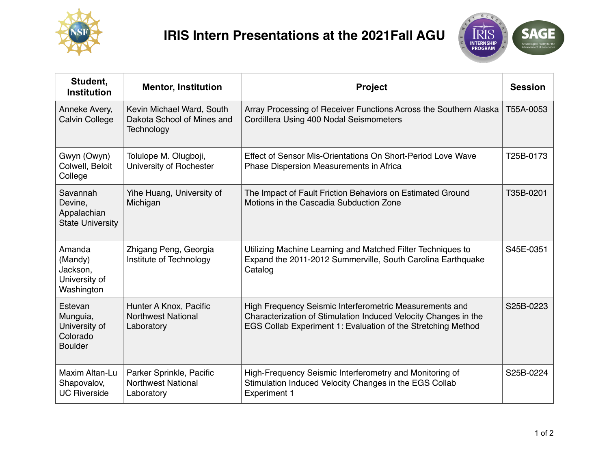

## **IRIS Intern Presentations at the 2021Fall AGU**



| Student,<br><b>Institution</b>                                     | <b>Mentor, Institution</b>                                            | <b>Project</b>                                                                                                                                                                             | <b>Session</b> |
|--------------------------------------------------------------------|-----------------------------------------------------------------------|--------------------------------------------------------------------------------------------------------------------------------------------------------------------------------------------|----------------|
| Anneke Avery,<br><b>Calvin College</b>                             | Kevin Michael Ward, South<br>Dakota School of Mines and<br>Technology | Array Processing of Receiver Functions Across the Southern Alaska<br>Cordillera Using 400 Nodal Seismometers                                                                               | T55A-0053      |
| Gwyn (Owyn)<br>Colwell, Beloit<br>College                          | Tolulope M. Olugboji,<br>University of Rochester                      | Effect of Sensor Mis-Orientations On Short-Period Love Wave<br>Phase Dispersion Measurements in Africa                                                                                     | T25B-0173      |
| Savannah<br>Devine,<br>Appalachian<br><b>State University</b>      | Yihe Huang, University of<br>Michigan                                 | The Impact of Fault Friction Behaviors on Estimated Ground<br>Motions in the Cascadia Subduction Zone                                                                                      | T35B-0201      |
| Amanda<br>(Mandy)<br>Jackson,<br>University of<br>Washington       | Zhigang Peng, Georgia<br>Institute of Technology                      | Utilizing Machine Learning and Matched Filter Techniques to<br>Expand the 2011-2012 Summerville, South Carolina Earthquake<br>Catalog                                                      | S45E-0351      |
| Estevan<br>Munguia,<br>University of<br>Colorado<br><b>Boulder</b> | Hunter A Knox, Pacific<br><b>Northwest National</b><br>Laboratory     | High Frequency Seismic Interferometric Measurements and<br>Characterization of Stimulation Induced Velocity Changes in the<br>EGS Collab Experiment 1: Evaluation of the Stretching Method | S25B-0223      |
| Maxim Altan-Lu<br>Shapovalov,<br><b>UC Riverside</b>               | Parker Sprinkle, Pacific<br><b>Northwest National</b><br>Laboratory   | High-Frequency Seismic Interferometry and Monitoring of<br>Stimulation Induced Velocity Changes in the EGS Collab<br><b>Experiment 1</b>                                                   | S25B-0224      |